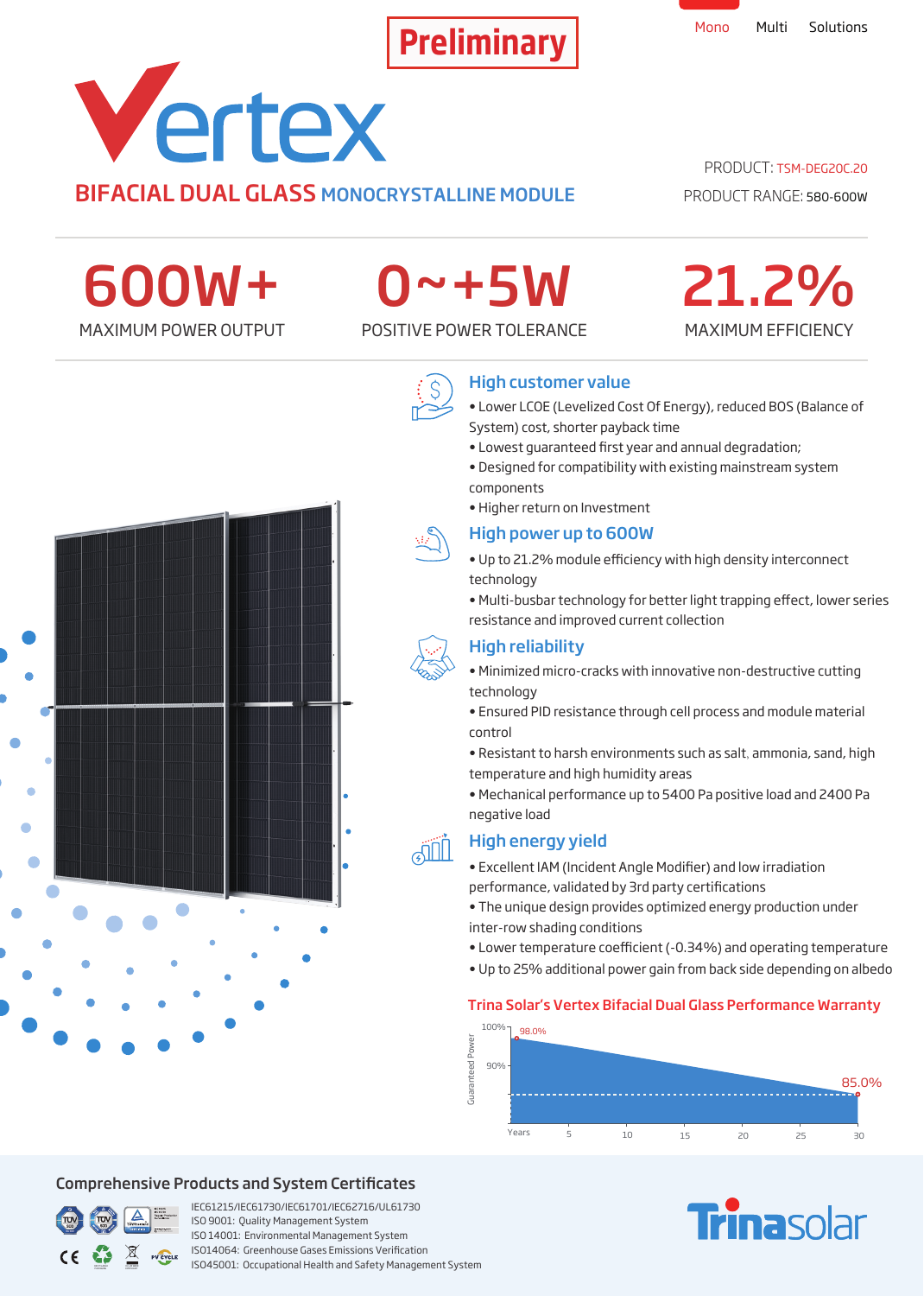

# Vertex BIFACIAL DUAL GLASS MONOCRYSTALLINE MODULE

## PRODUCT: TSM-DEG20C.20

PRODUCT RANGE: 580-600W

MAXIMUM EFFICIENCY

21.2%

600W+

# 0~+5W

MAXIMUM POWER OUTPUT POSITIVE POWER TOLERANCE



# High customer value

- Lower LCOE (Levelized Cost Of Energy), reduced BOS (Balance of System) cost, shorter payback time
- Lowest quaranteed first year and annual degradation;
- Designed for compatibility with existing mainstream system components
- Higher return on Investment

## High power up to 600W

- Up to 21.2% module efficiency with high density interconnect technology
- Multi-busbar technology for better light trapping effect, lower series resistance and improved current collection

# High reliability

- Minimized micro-cracks with innovative non-destructive cutting technology
- Ensured PID resistance through cell process and module material control
- Resistant to harsh environments such as salt, ammonia, sand, high temperature and high humidity areas
- Mechanical performance up to 5400 Pa positive load and 2400 Pa negative load

# High energy yield

- Excellent IAM (Incident Angle Modifier) and low irradiation performance, validated by 3rd party certifications
- The unique design provides optimized energy production under inter-row shading conditions
- Lower temperature coefficient (-0.34%) and operating temperature
- Up to 25% additional power gain from back side depending on albedo

## Trina Solar's Vertex Bifacial Dual Glass Performance Warranty



# **Finasolar**



## Comprehensive Products and System Certificates



IEC61215/IEC61730/IEC61701/IEC62716/UL61730 ISO 9001: Quality Management System ISO 14001: Environmental Management System ISO14064: Greenhouse Gases Emissions Verication ISO45001: Occupational Health and Safety Management System

**AIIL**